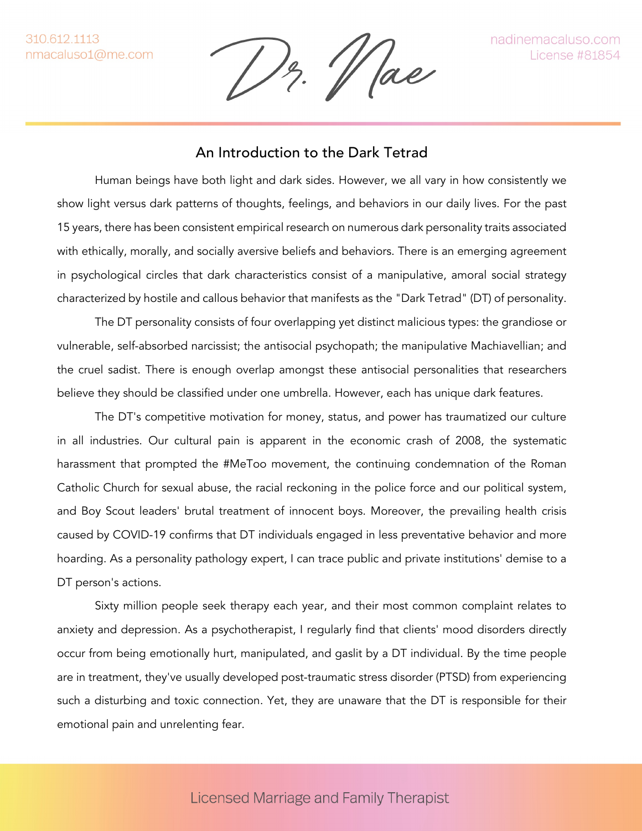$1$ z.  $1$  ae

## An Introduction to the Dark Tetrad

Human beings have both light and dark sides. However, we all vary in how consistently we show light versus dark patterns of thoughts, feelings, and behaviors in our daily lives. For the past 15 years, there has been consistent empirical research on numerous dark personality traits associated with ethically, morally, and socially aversive beliefs and behaviors. There is an emerging agreement in psychological circles that dark characteristics consist of a manipulative, amoral social strategy characterized by hostile and callous behavior that manifests as the "Dark Tetrad" (DT) of personality.

The DT personality consists of four overlapping yet distinct malicious types: the grandiose or vulnerable, self-absorbed narcissist; the antisocial psychopath; the manipulative Machiavellian; and the cruel sadist. There is enough overlap amongst these antisocial personalities that researchers believe they should be classified under one umbrella. However, each has unique dark features.

The DT's competitive motivation for money, status, and power has traumatized our culture in all industries. Our cultural pain is apparent in the economic crash of 2008, the systematic harassment that prompted the #MeToo movement, the continuing condemnation of the Roman Catholic Church for sexual abuse, the racial reckoning in the police force and our political system, and Boy Scout leaders' brutal treatment of innocent boys. Moreover, the prevailing health crisis caused by COVID-19 confirms that DT individuals engaged in less preventative behavior and more hoarding. As a personality pathology expert, I can trace public and private institutions' demise to a DT person's actions.

Sixty million people seek therapy each year, and their most common complaint relates to anxiety and depression. As a psychotherapist, I regularly find that clients' mood disorders directly occur from being emotionally hurt, manipulated, and gaslit by a DT individual. By the time people are in treatment, they've usually developed post-traumatic stress disorder (PTSD) from experiencing such a disturbing and toxic connection. Yet, they are unaware that the DT is responsible for their emotional pain and unrelenting fear.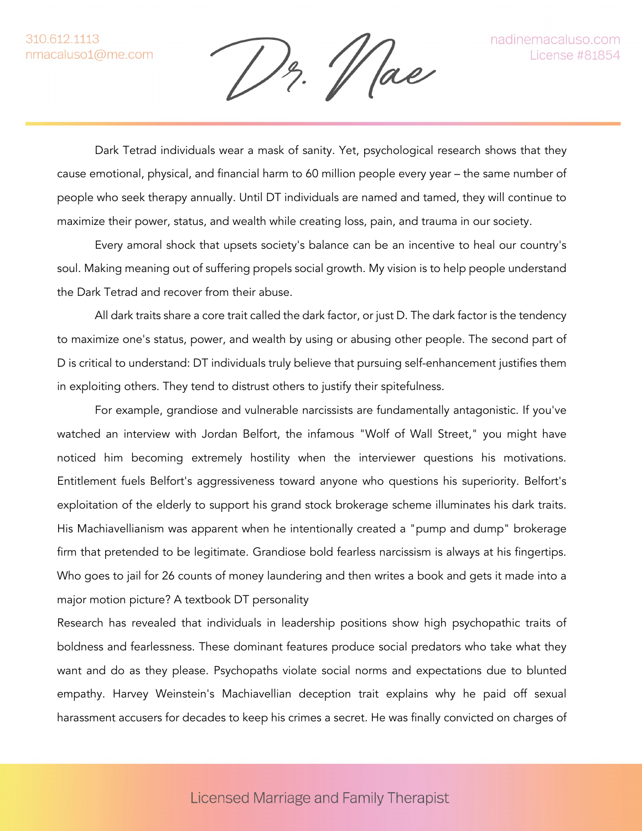$1$ z.  $1$  ae

Dark Tetrad individuals wear a mask of sanity. Yet, psychological research shows that they cause emotional, physical, and financial harm to 60 million people every year – the same number of people who seek therapy annually. Until DT individuals are named and tamed, they will continue to maximize their power, status, and wealth while creating loss, pain, and trauma in our society.

Every amoral shock that upsets society's balance can be an incentive to heal our country's soul. Making meaning out of suffering propels social growth. My vision is to help people understand the Dark Tetrad and recover from their abuse.

All dark traits share a core trait called the dark factor, or just D. The dark factor is the tendency to maximize one's status, power, and wealth by using or abusing other people. The second part of D is critical to understand: DT individuals truly believe that pursuing self-enhancement justifies them in exploiting others. They tend to distrust others to justify their spitefulness.

For example, grandiose and vulnerable narcissists are fundamentally antagonistic. If you've watched an interview with Jordan Belfort, the infamous "Wolf of Wall Street," you might have noticed him becoming extremely hostility when the interviewer questions his motivations. Entitlement fuels Belfort's aggressiveness toward anyone who questions his superiority. Belfort's exploitation of the elderly to support his grand stock brokerage scheme illuminates his dark traits. His Machiavellianism was apparent when he intentionally created a "pump and dump" brokerage firm that pretended to be legitimate. Grandiose bold fearless narcissism is always at his fingertips. Who goes to jail for 26 counts of money laundering and then writes a book and gets it made into a major motion picture? A textbook DT personality

Research has revealed that individuals in leadership positions show high psychopathic traits of boldness and fearlessness. These dominant features produce social predators who take what they want and do as they please. Psychopaths violate social norms and expectations due to blunted empathy. Harvey Weinstein's Machiavellian deception trait explains why he paid off sexual harassment accusers for decades to keep his crimes a secret. He was finally convicted on charges of

## **Licensed Marriage and Family Therapist**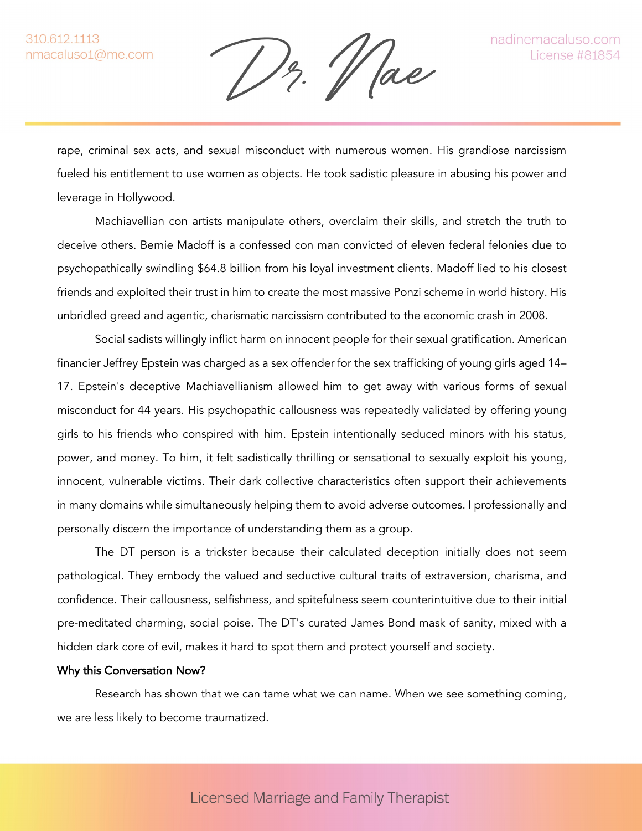13. Vae

rape, criminal sex acts, and sexual misconduct with numerous women. His grandiose narcissism fueled his entitlement to use women as objects. He took sadistic pleasure in abusing his power and leverage in Hollywood.

Machiavellian con artists manipulate others, overclaim their skills, and stretch the truth to deceive others. Bernie Madoff is a confessed con man convicted of eleven federal felonies due to psychopathically swindling \$64.8 billion from his loyal investment clients. Madoff lied to his closest friends and exploited their trust in him to create the most massive Ponzi scheme in world history. His unbridled greed and agentic, charismatic narcissism contributed to the economic crash in 2008.

Social sadists willingly inflict harm on innocent people for their sexual gratification. American financier Jeffrey Epstein was charged as a sex offender for the sex trafficking of young girls aged 14– 17. Epstein's deceptive Machiavellianism allowed him to get away with various forms of sexual misconduct for 44 years. His psychopathic callousness was repeatedly validated by offering young girls to his friends who conspired with him. Epstein intentionally seduced minors with his status, power, and money. To him, it felt sadistically thrilling or sensational to sexually exploit his young, innocent, vulnerable victims. Their dark collective characteristics often support their achievements in many domains while simultaneously helping them to avoid adverse outcomes. I professionally and personally discern the importance of understanding them as a group.

The DT person is a trickster because their calculated deception initially does not seem pathological. They embody the valued and seductive cultural traits of extraversion, charisma, and confidence. Their callousness, selfishness, and spitefulness seem counterintuitive due to their initial pre-meditated charming, social poise. The DT's curated James Bond mask of sanity, mixed with a hidden dark core of evil, makes it hard to spot them and protect yourself and society.

## Why this Conversation Now?

Research has shown that we can tame what we can name. When we see something coming, we are less likely to become traumatized.